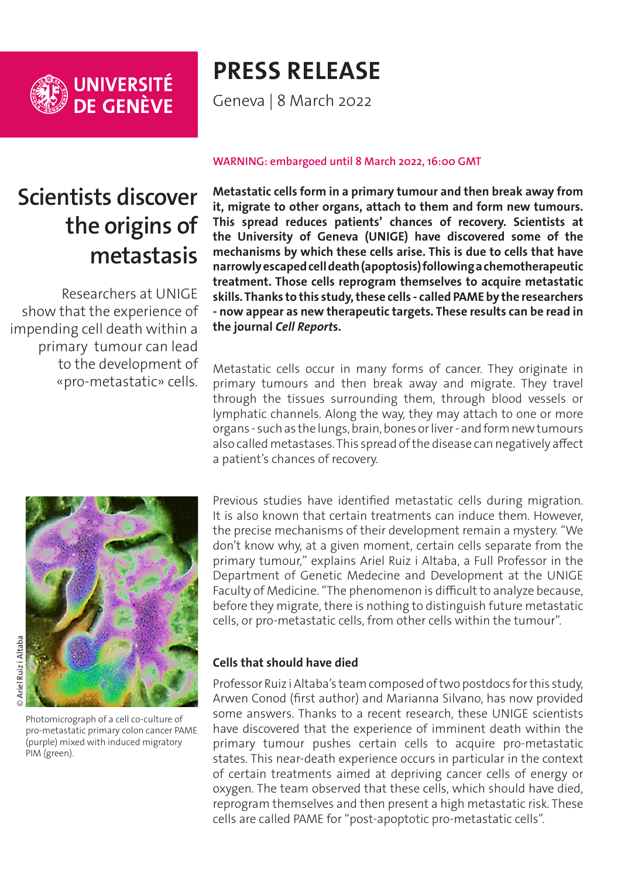

# **PRESS RELEASE**

Geneva | 8 March 2022

## **Scientists discover the origins of metastasis**

Researchers at UNIGE show that the experience of impending cell death within a primary tumour can lead to the development of «pro-metastatic» cells.

#### **WARNING: embargoed until 8 March 2022, 16:00 GMT**

**Metastatic cells form in a primary tumour and then break away from it, migrate to other organs, attach to them and form new tumours. This spread reduces patients' chances of recovery. Scientists at the University of Geneva (UNIGE) have discovered some of the mechanisms by which these cells arise. This is due to cells that have narrowly escaped cell death (apoptosis) following a chemotherapeutic treatment. Those cells reprogram themselves to acquire metastatic skills. Thanks to this study, these cells - called PAME by the researchers - now appear as new therapeutic targets. These results can be read in the journal** *Cell Report***s.** 

Metastatic cells occur in many forms of cancer. They originate in primary tumours and then break away and migrate. They travel through the tissues surrounding them, through blood vessels or lymphatic channels. Along the way, they may attach to one or more organs - such as the lungs, brain, bones or liver - and form new tumours also called metastases. This spread of the disease can negatively affect a patient's chances of recovery.



Photomicrograph of a cell co-culture of pro-metastatic primary colon cancer PAME (purple) mixed with induced migratory PIM (green).

Previous studies have identified metastatic cells during migration. It is also known that certain treatments can induce them. However, the precise mechanisms of their development remain a mystery. "We don't know why, at a given moment, certain cells separate from the primary tumour," explains Ariel Ruiz i Altaba, a Full Professor in the Department of Genetic Medecine and Development at the UNIGE Faculty of Medicine. "The phenomenon is difficult to analyze because, before they migrate, there is nothing to distinguish future metastatic cells, or pro-metastatic cells, from other cells within the tumour".

## **Cells that should have died**

Professor Ruiz i Altaba's team composed of two postdocs for this study, Arwen Conod (first author) and Marianna Silvano, has now provided some answers. Thanks to a recent research, these UNIGE scientists have discovered that the experience of imminent death within the primary tumour pushes certain cells to acquire pro-metastatic states. This near-death experience occurs in particular in the context of certain treatments aimed at depriving cancer cells of energy or oxygen. The team observed that these cells, which should have died, reprogram themselves and then present a high metastatic risk. These cells are called PAME for "post-apoptotic pro-metastatic cells".